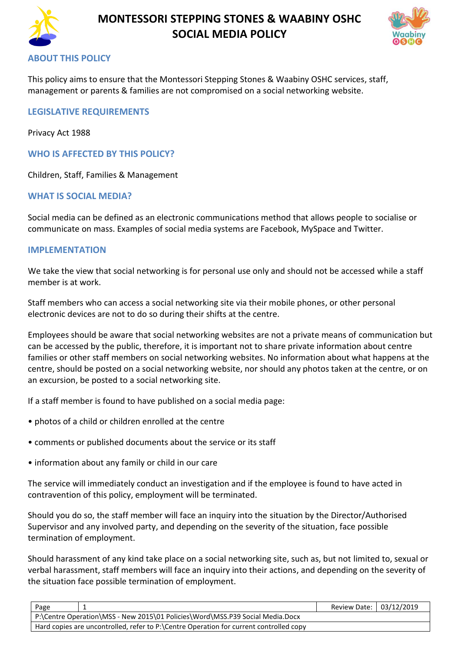

## **MONTESSORI STEPPING STONES & WAABINY OSHC SOCIAL MEDIA POLICY**



## **ABOUT THIS POLICY**

This policy aims to ensure that the Montessori Stepping Stones & Waabiny OSHC services, staff, management or parents & families are not compromised on a social networking website.

## **LEGISLATIVE REQUIREMENTS**

Privacy Act 1988

**WHO IS AFFECTED BY THIS POLICY?**

Children, Staff, Families & Management

#### **WHAT IS SOCIAL MEDIA?**

Social media can be defined as an electronic communications method that allows people to socialise or communicate on mass. Examples of social media systems are Facebook, MySpace and Twitter.

#### **IMPLEMENTATION**

We take the view that social networking is for personal use only and should not be accessed while a staff member is at work.

Staff members who can access a social networking site via their mobile phones, or other personal electronic devices are not to do so during their shifts at the centre.

Employees should be aware that social networking websites are not a private means of communication but can be accessed by the public, therefore, it is important not to share private information about centre families or other staff members on social networking websites. No information about what happens at the centre, should be posted on a social networking website, nor should any photos taken at the centre, or on an excursion, be posted to a social networking site.

If a staff member is found to have published on a social media page:

- photos of a child or children enrolled at the centre
- comments or published documents about the service or its staff
- information about any family or child in our care

The service will immediately conduct an investigation and if the employee is found to have acted in contravention of this policy, employment will be terminated.

Should you do so, the staff member will face an inquiry into the situation by the Director/Authorised Supervisor and any involved party, and depending on the severity of the situation, face possible termination of employment.

Should harassment of any kind take place on a social networking site, such as, but not limited to, sexual or verbal harassment, staff members will face an inquiry into their actions, and depending on the severity of the situation face possible termination of employment.

| Page                                                                                   | Review Date: 03/12/2019 |  |
|----------------------------------------------------------------------------------------|-------------------------|--|
| P:\Centre Operation\MSS - New 2015\01 Policies\Word\MSS.P39 Social Media.Docx          |                         |  |
| Hard copies are uncontrolled, refer to P:\Centre Operation for current controlled copy |                         |  |